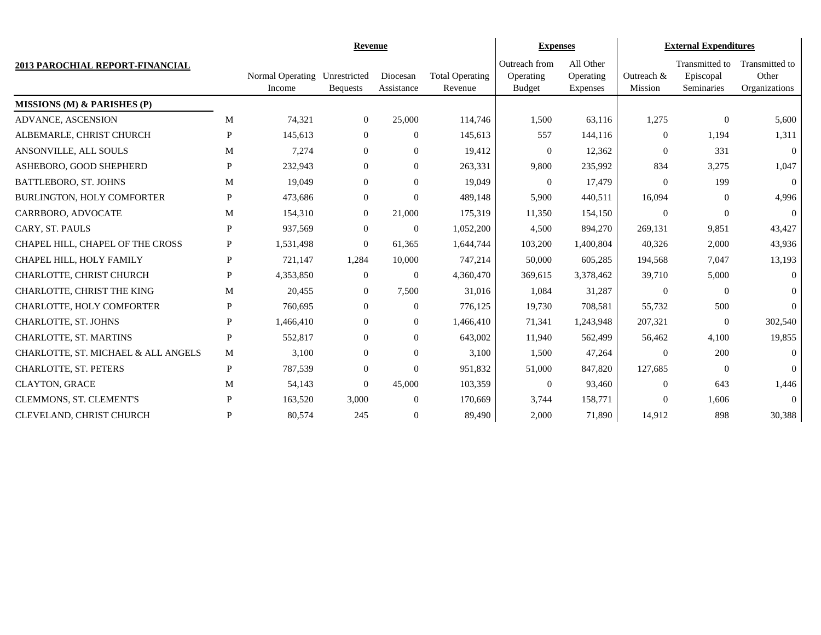|                                     |              |                                         | <b>Revenue</b>  |                        |                                   | <b>Expenses</b>                             |                                    | <b>External Expenditures</b> |                                           |                                          |
|-------------------------------------|--------------|-----------------------------------------|-----------------|------------------------|-----------------------------------|---------------------------------------------|------------------------------------|------------------------------|-------------------------------------------|------------------------------------------|
| 2013 PAROCHIAL REPORT-FINANCIAL     |              | Normal Operating Unrestricted<br>Income | <b>Bequests</b> | Diocesan<br>Assistance | <b>Total Operating</b><br>Revenue | Outreach from<br>Operating<br><b>Budget</b> | All Other<br>Operating<br>Expenses | Outreach &<br>Mission        | Transmitted to<br>Episcopal<br>Seminaries | Transmitted to<br>Other<br>Organizations |
| MISSIONS (M) & PARISHES (P)         |              |                                         |                 |                        |                                   |                                             |                                    |                              |                                           |                                          |
| ADVANCE, ASCENSION                  | M            | 74,321                                  | $\Omega$        | 25,000                 | 114,746                           | 1,500                                       | 63,116                             | 1,275                        | $\Omega$                                  | 5,600                                    |
| ALBEMARLE, CHRIST CHURCH            | $\mathbf{P}$ | 145,613                                 | $\Omega$        | $\boldsymbol{0}$       | 145,613                           | 557                                         | 144,116                            | $\overline{0}$               | 1,194                                     | 1,311                                    |
| ANSONVILLE, ALL SOULS               | M            | 7,274                                   | $\Omega$        | $\overline{0}$         | 19,412                            | $\overline{0}$                              | 12,362                             | $\theta$                     | 331                                       | $\overline{0}$                           |
| ASHEBORO, GOOD SHEPHERD             | $\mathbf{P}$ | 232,943                                 | $\Omega$        | $\overline{0}$         | 263,331                           | 9,800                                       | 235,992                            | 834                          | 3,275                                     | 1,047                                    |
| BATTLEBORO, ST. JOHNS               | M            | 19,049                                  | $\Omega$        | $\boldsymbol{0}$       | 19,049                            | $\Omega$                                    | 17,479                             | $\Omega$                     | 199                                       | $\Omega$                                 |
| BURLINGTON, HOLY COMFORTER          | $\mathbf{P}$ | 473,686                                 | $\mathbf{0}$    | $\mathbf{0}$           | 489,148                           | 5,900                                       | 440,511                            | 16,094                       | $\mathbf{0}$                              | 4,996                                    |
| CARRBORO, ADVOCATE                  | M            | 154,310                                 | $\mathbf{0}$    | 21,000                 | 175,319                           | 11,350                                      | 154,150                            | $\overline{0}$               | $\Omega$                                  | $\Omega$                                 |
| CARY, ST. PAULS                     | P            | 937,569                                 | $\mathbf{0}$    | $\mathbf{0}$           | 1,052,200                         | 4,500                                       | 894,270                            | 269,131                      | 9,851                                     | 43,427                                   |
| CHAPEL HILL, CHAPEL OF THE CROSS    | $\mathbf{P}$ | 1,531,498                               | $\mathbf{0}$    | 61,365                 | 1,644,744                         | 103,200                                     | 1,400,804                          | 40,326                       | 2,000                                     | 43,936                                   |
| CHAPEL HILL, HOLY FAMILY            | $\mathbf{P}$ | 721,147                                 | 1,284           | 10,000                 | 747,214                           | 50,000                                      | 605,285                            | 194,568                      | 7,047                                     | 13,193                                   |
| CHARLOTTE, CHRIST CHURCH            | P            | 4,353,850                               | $\mathbf{0}$    | $\boldsymbol{0}$       | 4,360,470                         | 369,615                                     | 3,378,462                          | 39,710                       | 5,000                                     | $\mathbf{0}$                             |
| CHARLOTTE, CHRIST THE KING          | M            | 20,455                                  | $\mathbf{0}$    | 7,500                  | 31,016                            | 1,084                                       | 31,287                             | $\overline{0}$               | $\overline{0}$                            | $\Omega$                                 |
| CHARLOTTE, HOLY COMFORTER           | P            | 760,695                                 | $\mathbf{0}$    | $\boldsymbol{0}$       | 776,125                           | 19,730                                      | 708,581                            | 55,732                       | 500                                       | $\Omega$                                 |
| CHARLOTTE, ST. JOHNS                | P            | 1,466,410                               | $\mathbf{0}$    | $\overline{0}$         | 1,466,410                         | 71,341                                      | 1,243,948                          | 207,321                      | $\mathbf{0}$                              | 302,540                                  |
| CHARLOTTE, ST. MARTINS              | P            | 552,817                                 | $\mathbf{0}$    | $\overline{0}$         | 643,002                           | 11,940                                      | 562,499                            | 56,462                       | 4,100                                     | 19,855                                   |
| CHARLOTTE, ST. MICHAEL & ALL ANGELS | M            | 3,100                                   | $\Omega$        | $\mathbf{0}$           | 3,100                             | 1,500                                       | 47,264                             | $\Omega$                     | 200                                       | $\mathbf{0}$                             |
| CHARLOTTE, ST. PETERS               | $\mathbf{P}$ | 787,539                                 | $\Omega$        | $\theta$               | 951,832                           | 51,000                                      | 847,820                            | 127,685                      | $\Omega$                                  | $\theta$                                 |
| <b>CLAYTON, GRACE</b>               | M            | 54,143                                  | $\mathbf{0}$    | 45,000                 | 103,359                           | $\overline{0}$                              | 93,460                             | $\overline{0}$               | 643                                       | 1,446                                    |
| CLEMMONS, ST. CLEMENT'S             | P            | 163,520                                 | 3,000           | $\mathbf{0}$           | 170,669                           | 3,744                                       | 158,771                            | $\overline{0}$               | 1,606                                     | $\theta$                                 |
| CLEVELAND, CHRIST CHURCH            | P            | 80,574                                  | 245             | $\mathbf{0}$           | 89,490                            | 2,000                                       | 71,890                             | 14,912                       | 898                                       | 30,388                                   |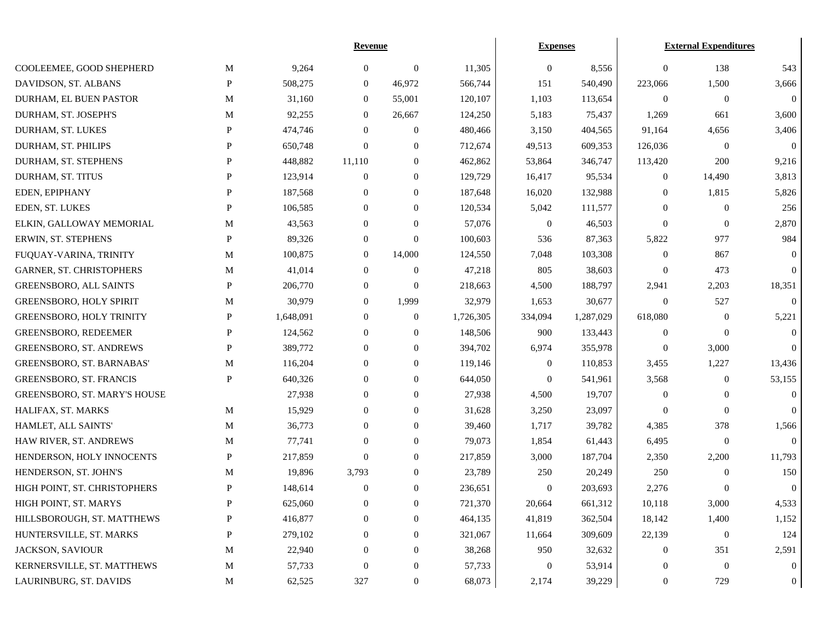|                                 |             |           | <b>Revenue</b>   |                  |           |                  | <b>Expenses</b> |              | <b>External Expenditures</b> |                  |  |
|---------------------------------|-------------|-----------|------------------|------------------|-----------|------------------|-----------------|--------------|------------------------------|------------------|--|
| COOLEEMEE, GOOD SHEPHERD        | M           | 9,264     | $\mathbf{0}$     | $\boldsymbol{0}$ | 11,305    | $\mathbf{0}$     | 8,556           | 0            | 138                          | 543              |  |
| DAVIDSON, ST. ALBANS            | P           | 508,275   | $\mathbf{0}$     | 46,972           | 566,744   | 151              | 540,490         | 223,066      | 1,500                        | 3,666            |  |
| DURHAM, EL BUEN PASTOR          | M           | 31,160    | $\mathbf{0}$     | 55,001           | 120,107   | 1,103            | 113,654         | $\theta$     | $\theta$                     | $\mathbf{0}$     |  |
| DURHAM, ST. JOSEPH'S            | M           | 92,255    | $\mathbf{0}$     | 26,667           | 124,250   | 5,183            | 75,437          | 1,269        | 661                          | 3,600            |  |
| DURHAM, ST. LUKES               | P           | 474,746   | $\mathbf{0}$     | $\boldsymbol{0}$ | 480,466   | 3,150            | 404,565         | 91,164       | 4,656                        | 3,406            |  |
| DURHAM, ST. PHILIPS             | P           | 650,748   | $\overline{0}$   | $\boldsymbol{0}$ | 712,674   | 49,513           | 609,353         | 126,036      | $\overline{0}$               | $\overline{0}$   |  |
| DURHAM, ST. STEPHENS            | P           | 448,882   | 11,110           | $\boldsymbol{0}$ | 462,862   | 53,864           | 346,747         | 113,420      | 200                          | 9,216            |  |
| DURHAM, ST. TITUS               | P           | 123,914   | $\boldsymbol{0}$ | $\boldsymbol{0}$ | 129,729   | 16,417           | 95,534          | 0            | 14,490                       | 3,813            |  |
| EDEN, EPIPHANY                  | P           | 187,568   | $\mathbf{0}$     | $\boldsymbol{0}$ | 187,648   | 16,020           | 132,988         | 0            | 1,815                        | 5,826            |  |
| EDEN, ST. LUKES                 | P           | 106,585   | $\mathbf{0}$     | $\boldsymbol{0}$ | 120,534   | 5,042            | 111,577         | 0            | $\overline{0}$               | 256              |  |
| ELKIN, GALLOWAY MEMORIAL        | M           | 43,563    | $\mathbf{0}$     | $\boldsymbol{0}$ | 57,076    | $\mathbf{0}$     | 46,503          | 0            | $\mathbf{0}$                 | 2,870            |  |
| ERWIN, ST. STEPHENS             | P           | 89,326    | $\mathbf{0}$     | $\boldsymbol{0}$ | 100,603   | 536              | 87,363          | 5,822        | 977                          | 984              |  |
| FUQUAY-VARINA, TRINITY          | M           | 100,875   | $\mathbf{0}$     | 14,000           | 124,550   | 7,048            | 103,308         | 0            | 867                          | $\theta$         |  |
| GARNER, ST. CHRISTOPHERS        | M           | 41,014    | $\mathbf{0}$     | $\boldsymbol{0}$ | 47,218    | 805              | 38,603          | $\theta$     | 473                          | $\theta$         |  |
| <b>GREENSBORO, ALL SAINTS</b>   | P           | 206,770   | $\mathbf{0}$     | $\mathbf{0}$     | 218,663   | 4,500            | 188,797         | 2,941        | 2,203                        | 18,351           |  |
| <b>GREENSBORO, HOLY SPIRIT</b>  | M           | 30,979    | $\mathbf{0}$     | 1,999            | 32,979    | 1,653            | 30,677          | $\mathbf{0}$ | 527                          | $\boldsymbol{0}$ |  |
| <b>GREENSBORO, HOLY TRINITY</b> | P           | 1,648,091 | $\mathbf{0}$     | $\boldsymbol{0}$ | 1,726,305 | 334,094          | 1,287,029       | 618,080      | $\theta$                     | 5,221            |  |
| <b>GREENSBORO, REDEEMER</b>     | P           | 124,562   | $\boldsymbol{0}$ | $\boldsymbol{0}$ | 148,506   | 900              | 133,443         | 0            | $\Omega$                     | $\Omega$         |  |
| <b>GREENSBORO, ST. ANDREWS</b>  | P           | 389,772   | $\theta$         | $\boldsymbol{0}$ | 394,702   | 6,974            | 355,978         | 0            | 3,000                        | $\theta$         |  |
| GREENSBORO, ST. BARNABAS'       | M           | 116,204   | $\boldsymbol{0}$ | $\boldsymbol{0}$ | 119,146   | $\mathbf{0}$     | 110,853         | 3,455        | 1,227                        | 13,436           |  |
| <b>GREENSBORO, ST. FRANCIS</b>  | P           | 640,326   | $\overline{0}$   | $\boldsymbol{0}$ | 644,050   | $\mathbf{0}$     | 541,961         | 3,568        | $\theta$                     | 53,155           |  |
| GREENSBORO, ST. MARY'S HOUSE    |             | 27,938    | $\mathbf{0}$     | $\boldsymbol{0}$ | 27,938    | 4,500            | 19,707          | $\mathbf{0}$ | $\theta$                     | $\mathbf{0}$     |  |
| HALIFAX, ST. MARKS              | M           | 15,929    | $\theta$         | $\boldsymbol{0}$ | 31,628    | 3,250            | 23,097          | $\mathbf{0}$ | $\Omega$                     | $\theta$         |  |
| HAMLET, ALL SAINTS'             | M           | 36,773    | $\overline{0}$   | $\boldsymbol{0}$ | 39,460    | 1,717            | 39,782          | 4,385        | 378                          | 1,566            |  |
| HAW RIVER, ST. ANDREWS          | M           | 77,741    | $\overline{0}$   | $\boldsymbol{0}$ | 79,073    | 1,854            | 61,443          | 6,495        | $\theta$                     | $\theta$         |  |
| HENDERSON, HOLY INNOCENTS       | P           | 217,859   | $\theta$         | $\boldsymbol{0}$ | 217,859   | 3,000            | 187,704         | 2,350        | 2,200                        | 11,793           |  |
| HENDERSON, ST. JOHN'S           | M           | 19,896    | 3,793            | $\boldsymbol{0}$ | 23,789    | 250              | 20,249          | 250          | $\theta$                     | 150              |  |
| HIGH POINT, ST. CHRISTOPHERS    | P           | 148,614   | $\boldsymbol{0}$ | $\boldsymbol{0}$ | 236,651   | $\overline{0}$   | 203,693         | 2,276        | $\mathbf{0}$                 | $\mathbf{0}$     |  |
| HIGH POINT, ST. MARYS           | P           | 625,060   | $\boldsymbol{0}$ | $\overline{0}$   | 721,370   | 20,664           | 661,312         | 10,118       | 3,000                        | 4,533            |  |
| HILLSBOROUGH, ST. MATTHEWS      | P           | 416,877   | $\boldsymbol{0}$ | $\boldsymbol{0}$ | 464,135   | 41,819           | 362,504         | 18,142       | 1,400                        | 1,152            |  |
| HUNTERSVILLE, ST. MARKS         | P           | 279,102   | $\theta$         | $\boldsymbol{0}$ | 321,067   | 11,664           | 309,609         | 22,139       | $\boldsymbol{0}$             | 124              |  |
| <b>JACKSON, SAVIOUR</b>         | M           | 22,940    | $\Omega$         | $\boldsymbol{0}$ | 38,268    | 950              | 32,632          | 0            | 351                          | 2,591            |  |
| KERNERSVILLE, ST. MATTHEWS      | M           | 57,733    | $\theta$         | $\boldsymbol{0}$ | 57,733    | $\boldsymbol{0}$ | 53,914          | 0            | $\boldsymbol{0}$             | $\overline{0}$   |  |
| LAURINBURG, ST. DAVIDS          | $\mathbf M$ | 62,525    | 327              | $\boldsymbol{0}$ | 68,073    | 2,174            | 39,229          | $\mathbf{0}$ | 729                          | $\overline{0}$   |  |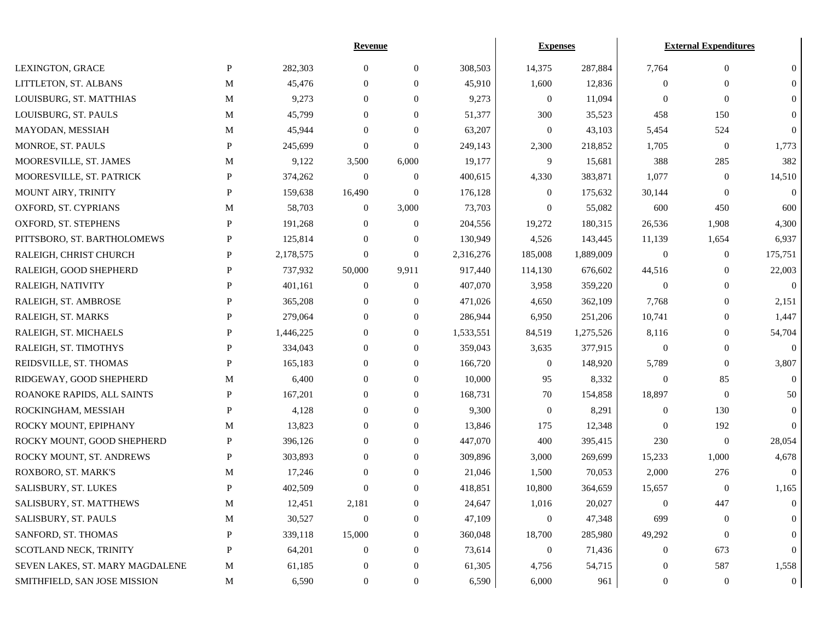|                                 |              | Revenue   |                  |                  |           | <b>Expenses</b> |           | <b>External Expenditures</b> |                  |                  |
|---------------------------------|--------------|-----------|------------------|------------------|-----------|-----------------|-----------|------------------------------|------------------|------------------|
| LEXINGTON, GRACE                | $\mathbf{P}$ | 282,303   | $\theta$         | $\boldsymbol{0}$ | 308,503   | 14,375          | 287,884   | 7,764                        | $\overline{0}$   | $\mathbf{0}$     |
| LITTLETON, ST. ALBANS           | M            | 45,476    | $\theta$         | $\overline{0}$   | 45,910    | 1,600           | 12,836    | $\overline{0}$               | $\overline{0}$   | $\theta$         |
| LOUISBURG, ST. MATTHIAS         | M            | 9,273     | $\theta$         | $\overline{0}$   | 9,273     | $\overline{0}$  | 11,094    | $\overline{0}$               | $\overline{0}$   | $\overline{0}$   |
| LOUISBURG, ST. PAULS            | M            | 45,799    | $\overline{0}$   | $\overline{0}$   | 51,377    | 300             | 35,523    | 458                          | 150              | $\theta$         |
| MAYODAN, MESSIAH                | M            | 45,944    | $\Omega$         | $\overline{0}$   | 63,207    | $\overline{0}$  | 43,103    | 5,454                        | 524              | $\overline{0}$   |
| MONROE, ST. PAULS               | P            | 245,699   | $\Omega$         | $\mathbf{0}$     | 249,143   | 2,300           | 218,852   | 1,705                        | $\boldsymbol{0}$ | 1,773            |
| MOORESVILLE, ST. JAMES          | M            | 9,122     | 3,500            | 6,000            | 19,177    | 9               | 15,681    | 388                          | 285              | 382              |
| MOORESVILLE, ST. PATRICK        | $\mathbf{P}$ | 374,262   | $\overline{0}$   | $\mathbf{0}$     | 400,615   | 4,330           | 383,871   | 1,077                        | $\boldsymbol{0}$ | 14,510           |
| MOUNT AIRY, TRINITY             | $\mathbf{P}$ | 159,638   | 16,490           | $\mathbf{0}$     | 176,128   | $\overline{0}$  | 175,632   | 30,144                       | $\boldsymbol{0}$ | $\mathbf{0}$     |
| OXFORD, ST. CYPRIANS            | M            | 58,703    | $\overline{0}$   | 3,000            | 73,703    | $\Omega$        | 55,082    | 600                          | 450              | 600              |
| OXFORD, ST. STEPHENS            | $\mathbf{P}$ | 191,268   | $\overline{0}$   | $\overline{0}$   | 204,556   | 19,272          | 180,315   | 26,536                       | 1,908            | 4,300            |
| PITTSBORO, ST. BARTHOLOMEWS     | $\mathbf{P}$ | 125,814   | $\overline{0}$   | $\overline{0}$   | 130,949   | 4,526           | 143,445   | 11,139                       | 1,654            | 6,937            |
| RALEIGH, CHRIST CHURCH          | $\mathbf{P}$ | 2,178,575 | $\overline{0}$   | $\mathbf{0}$     | 2,316,276 | 185,008         | 1,889,009 | $\mathbf{0}$                 | $\mathbf{0}$     | 175,751          |
| RALEIGH, GOOD SHEPHERD          | $\mathbf{P}$ | 737,932   | 50,000           | 9,911            | 917,440   | 114,130         | 676,602   | 44,516                       | $\theta$         | 22,003           |
| RALEIGH, NATIVITY               | $\mathbf{P}$ | 401,161   | $\overline{0}$   | $\overline{0}$   | 407,070   | 3,958           | 359,220   | $\mathbf{0}$                 | $\mathbf{0}$     | $\theta$         |
| RALEIGH, ST. AMBROSE            | $\mathbf{P}$ | 365,208   | $\overline{0}$   | $\overline{0}$   | 471,026   | 4,650           | 362,109   | 7,768                        | $\mathbf{0}$     | 2,151            |
| RALEIGH, ST. MARKS              | P            | 279,064   | $\theta$         | $\overline{0}$   | 286,944   | 6,950           | 251,206   | 10,741                       | $\mathbf{0}$     | 1,447            |
| RALEIGH, ST. MICHAELS           | P            | 1,446,225 | $\overline{0}$   | $\overline{0}$   | 1,533,551 | 84,519          | 1,275,526 | 8,116                        | $\mathbf{0}$     | 54,704           |
| RALEIGH, ST. TIMOTHYS           | $\mathbf{P}$ | 334,043   | $\overline{0}$   | $\overline{0}$   | 359,043   | 3,635           | 377,915   | $\mathbf{0}$                 | $\mathbf{0}$     | $\theta$         |
| REIDSVILLE, ST. THOMAS          | $\mathbf{P}$ | 165,183   | $\overline{0}$   | $\overline{0}$   | 166,720   | $\overline{0}$  | 148,920   | 5,789                        | $\mathbf{0}$     | 3,807            |
| RIDGEWAY, GOOD SHEPHERD         | M            | 6,400     | $\theta$         | $\overline{0}$   | 10,000    | 95              | 8,332     | $\mathbf{0}$                 | 85               | $\overline{0}$   |
| ROANOKE RAPIDS, ALL SAINTS      | P            | 167,201   | $\Omega$         | $\overline{0}$   | 168,731   | 70              | 154,858   | 18,897                       | $\boldsymbol{0}$ | 50               |
| ROCKINGHAM, MESSIAH             | $\mathbf{P}$ | 4,128     | $\overline{0}$   | $\Omega$         | 9,300     | $\overline{0}$  | 8,291     | $\boldsymbol{0}$             | 130              | $\overline{0}$   |
| ROCKY MOUNT, EPIPHANY           | M            | 13,823    | $\overline{0}$   | $\overline{0}$   | 13,846    | 175             | 12,348    | $\overline{0}$               | 192              | $\theta$         |
| ROCKY MOUNT, GOOD SHEPHERD      | P            | 396,126   | $\theta$         | $\overline{0}$   | 447,070   | 400             | 395,415   | 230                          | $\boldsymbol{0}$ | 28,054           |
| ROCKY MOUNT, ST. ANDREWS        | P            | 303,893   | $\overline{0}$   | $\overline{0}$   | 309,896   | 3,000           | 269,699   | 15,233                       | 1,000            | 4,678            |
| ROXBORO, ST. MARK'S             | M            | 17,246    | $\overline{0}$   | $\Omega$         | 21,046    | 1,500           | 70,053    | 2,000                        | 276              | $\theta$         |
| SALISBURY, ST. LUKES            | P            | 402,509   | $\overline{0}$   | $\theta$         | 418,851   | 10,800          | 364,659   | 15,657                       | $\boldsymbol{0}$ | 1,165            |
| SALISBURY, ST. MATTHEWS         | M            | 12,451    | 2,181            | $\boldsymbol{0}$ | 24,647    | 1,016           | 20,027    | $\mathbf{0}$                 | 447              | $\boldsymbol{0}$ |
| SALISBURY, ST. PAULS            | M            | 30,527    | $\mathbf{0}$     | $\mathbf{0}$     | 47,109    | $\overline{0}$  | 47,348    | 699                          | $\boldsymbol{0}$ | $\mathbf{0}$     |
| SANFORD, ST. THOMAS             | $\mathbf P$  | 339,118   | 15,000           | $\boldsymbol{0}$ | 360,048   | 18,700          | 285,980   | 49,292                       | $\boldsymbol{0}$ | $\overline{0}$   |
| SCOTLAND NECK, TRINITY          | P            | 64,201    | $\overline{0}$   | $\overline{0}$   | 73,614    | $\bf{0}$        | 71,436    | $\boldsymbol{0}$             | 673              | $\mathbf{0}$     |
| SEVEN LAKES, ST. MARY MAGDALENE | M            | 61,185    | $\boldsymbol{0}$ | $\boldsymbol{0}$ | 61,305    | 4,756           | 54,715    | $\mathbf{0}$                 | 587              | 1,558            |
| SMITHFIELD, SAN JOSE MISSION    | M            | 6,590     | $\mathbf{0}$     | $\mathbf{0}$     | 6,590     | 6,000           | 961       | $\overline{0}$               | $\boldsymbol{0}$ | $\boldsymbol{0}$ |